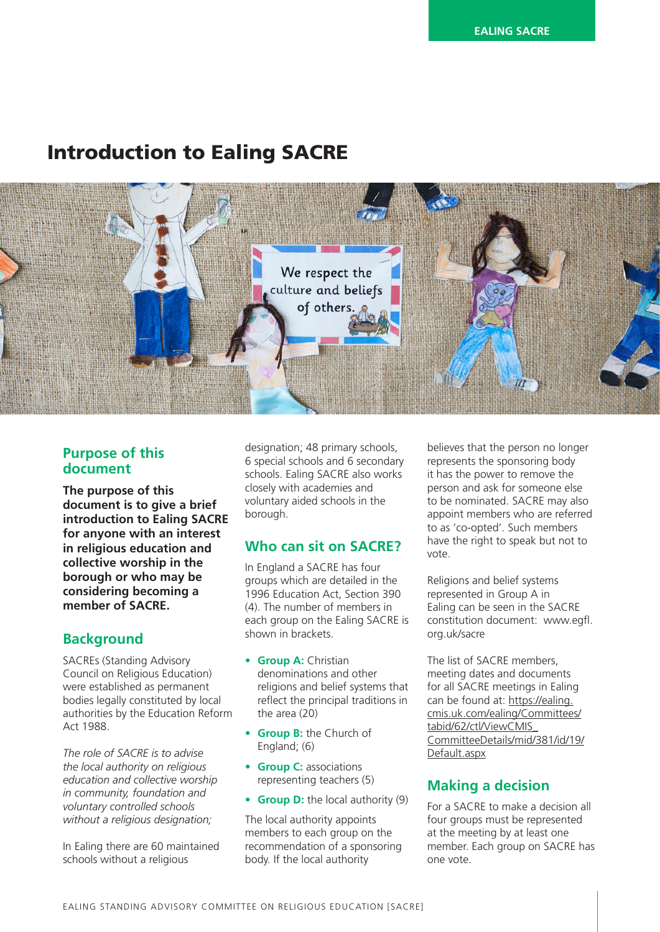# Introduction to Ealing SACRE



### **Purpose of this document**

**The purpose of this document is to give a brief introduction to Ealing SACRE for anyone with an interest in religious education and collective worship in the borough or who may be considering becoming a member of SACRE.**

### **Background**

SACREs (Standing Advisory Council on Religious Education) were established as permanent bodies legally constituted by local authorities by the Education Reform Act 1988.

*The role of SACRE is to advise the local authority on religious education and collective worship in community, foundation and voluntary controlled schools without a religious designation;* 

In Ealing there are 60 maintained schools without a religious

designation; 48 primary schools, 6 special schools and 6 secondary schools. Ealing SACRE also works closely with academies and voluntary aided schools in the borough.

#### **Who can sit on SACRE?**

In England a SACRE has four groups which are detailed in the 1996 Education Act, Section 390 (4). The number of members in each group on the Ealing SACRE is shown in brackets.

- **Group A:** Christian denominations and other religions and belief systems that reflect the principal traditions in the area (20)
- **Group B:** the Church of England; (6)
- **Group C:** associations representing teachers (5)
- **Group D:** the local authority (9)

The local authority appoints members to each group on the recommendation of a sponsoring body. If the local authority

believes that the person no longer represents the sponsoring body it has the power to remove the person and ask for someone else to be nominated. SACRE may also appoint members who are referred to as 'co-opted'. Such members have the right to speak but not to vote.

Religions and belief systems represented in Group A in Ealing can be seen in the SACRE constitution document: www.egfl. org.uk/sacre

The list of SACRE members, meeting dates and documents for all SACRE meetings in Ealing can be found at: [https://ealing.](https://ealing.cmis.uk.com/ealing/Committees/tabid/62/ctl/ViewCMIS_CommitteeDetails/mid/381/id/19/Default.aspx
) [cmis.uk.com/ealing/Committees/](https://ealing.cmis.uk.com/ealing/Committees/tabid/62/ctl/ViewCMIS_CommitteeDetails/mid/381/id/19/Default.aspx
) [tabid/62/ctl/ViewCMIS\\_](https://ealing.cmis.uk.com/ealing/Committees/tabid/62/ctl/ViewCMIS_CommitteeDetails/mid/381/id/19/Default.aspx
) [CommitteeDetails/mid/381/id/19/](https://ealing.cmis.uk.com/ealing/Committees/tabid/62/ctl/ViewCMIS_CommitteeDetails/mid/381/id/19/Default.aspx
) [Default.aspx](https://ealing.cmis.uk.com/ealing/Committees/tabid/62/ctl/ViewCMIS_CommitteeDetails/mid/381/id/19/Default.aspx
)

### **Making a decision**

For a SACRE to make a decision all four groups must be represented at the meeting by at least one member. Each group on SACRE has one vote.